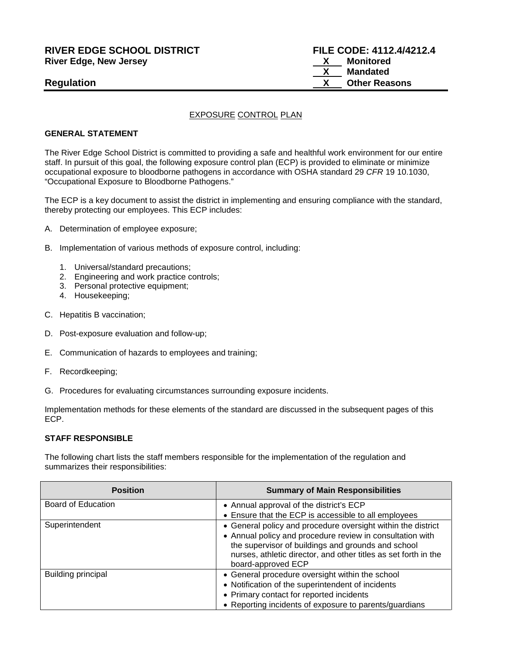# **RIVER EDGE SCHOOL DISTRICT FILE CODE: 4112.4/4212.4 River Edge, New Jersey X Monitored**

#### EXPOSURE CONTROL PLAN

#### **GENERAL STATEMENT**

The River Edge School District is committed to providing a safe and healthful work environment for our entire staff. In pursuit of this goal, the following exposure control plan (ECP) is provided to eliminate or minimize occupational exposure to bloodborne pathogens in accordance with OSHA standard 29 *CFR* 19 10.1030, "Occupational Exposure to Bloodborne Pathogens."

The ECP is a key document to assist the district in implementing and ensuring compliance with the standard, thereby protecting our employees. This ECP includes:

- A. Determination of employee exposure;
- B. Implementation of various methods of exposure control, including:
	- 1. Universal/standard precautions;
	- 2. Engineering and work practice controls;
	- 3. Personal protective equipment;
	- 4. Housekeeping;
- C. Hepatitis B vaccination;
- D. Post-exposure evaluation and follow-up;
- E. Communication of hazards to employees and training;
- F. Recordkeeping;
- G. Procedures for evaluating circumstances surrounding exposure incidents.

Implementation methods for these elements of the standard are discussed in the subsequent pages of this ECP.

#### **STAFF RESPONSIBLE**

The following chart lists the staff members responsible for the implementation of the regulation and summarizes their responsibilities:

| <b>Position</b>           | <b>Summary of Main Responsibilities</b>                                                                                                                                                                  |
|---------------------------|----------------------------------------------------------------------------------------------------------------------------------------------------------------------------------------------------------|
| Board of Education        | • Annual approval of the district's ECP                                                                                                                                                                  |
|                           | • Ensure that the ECP is accessible to all employees                                                                                                                                                     |
| Superintendent            | • General policy and procedure oversight within the district                                                                                                                                             |
|                           | • Annual policy and procedure review in consultation with<br>the supervisor of buildings and grounds and school<br>nurses, athletic director, and other titles as set forth in the<br>board-approved ECP |
| <b>Building principal</b> | • General procedure oversight within the school                                                                                                                                                          |
|                           | • Notification of the superintendent of incidents                                                                                                                                                        |
|                           | • Primary contact for reported incidents                                                                                                                                                                 |
|                           | • Reporting incidents of exposure to parents/guardians                                                                                                                                                   |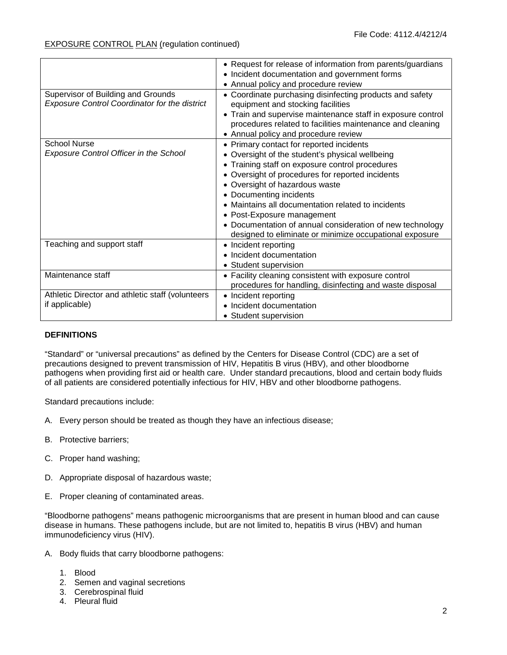|                                                                                            | • Request for release of information from parents/guardians<br>• Incident documentation and government forms<br>Annual policy and procedure review                                                                                                                                                                                                                                                                                                                           |
|--------------------------------------------------------------------------------------------|------------------------------------------------------------------------------------------------------------------------------------------------------------------------------------------------------------------------------------------------------------------------------------------------------------------------------------------------------------------------------------------------------------------------------------------------------------------------------|
| Supervisor of Building and Grounds<br><b>Exposure Control Coordinator for the district</b> | Coordinate purchasing disinfecting products and safety<br>equipment and stocking facilities<br>• Train and supervise maintenance staff in exposure control<br>procedures related to facilities maintenance and cleaning<br>• Annual policy and procedure review                                                                                                                                                                                                              |
| <b>School Nurse</b><br><b>Exposure Control Officer in the School</b>                       | Primary contact for reported incidents<br>Oversight of the student's physical wellbeing<br>Training staff on exposure control procedures<br>$\bullet$<br>Oversight of procedures for reported incidents<br>• Oversight of hazardous waste<br>Documenting incidents<br>Maintains all documentation related to incidents<br>• Post-Exposure management<br>• Documentation of annual consideration of new technology<br>designed to eliminate or minimize occupational exposure |
| Teaching and support staff                                                                 | • Incident reporting<br>Incident documentation<br>Student supervision                                                                                                                                                                                                                                                                                                                                                                                                        |
| Maintenance staff                                                                          | • Facility cleaning consistent with exposure control<br>procedures for handling, disinfecting and waste disposal                                                                                                                                                                                                                                                                                                                                                             |
| Athletic Director and athletic staff (volunteers<br>if applicable)                         | • Incident reporting<br>Incident documentation<br>• Student supervision                                                                                                                                                                                                                                                                                                                                                                                                      |

# **DEFINITIONS**

"Standard" or "universal precautions" as defined by the Centers for Disease Control (CDC) are a set of precautions designed to prevent transmission of HIV, Hepatitis B virus (HBV), and other bloodborne pathogens when providing first aid or health care. Under standard precautions, blood and certain body fluids of all patients are considered potentially infectious for HIV, HBV and other bloodborne pathogens.

Standard precautions include:

- A. Every person should be treated as though they have an infectious disease;
- B. Protective barriers;
- C. Proper hand washing;
- D. Appropriate disposal of hazardous waste;
- E. Proper cleaning of contaminated areas.

"Bloodborne pathogens" means pathogenic microorganisms that are present in human blood and can cause disease in humans. These pathogens include, but are not limited to, hepatitis B virus (HBV) and human immunodeficiency virus (HIV).

- A. Body fluids that carry bloodborne pathogens:
	- 1. Blood
	- 2. Semen and vaginal secretions
	- 3. Cerebrospinal fluid
	- 4. Pleural fluid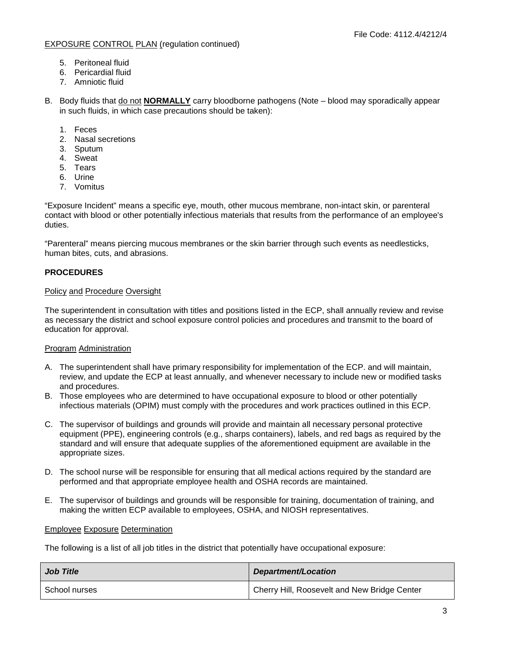- 5. Peritoneal fluid
- 6. Pericardial fluid
- 7. Amniotic fluid

B. Body fluids that do not **NORMALLY** carry bloodborne pathogens (Note – blood may sporadically appear in such fluids, in which case precautions should be taken):

- 1. Feces
- 2. Nasal secretions
- 3. Sputum
- 4. Sweat
- 5. Tears
- 6. Urine
- 7. Vomitus

"Exposure Incident" means a specific eye, mouth, other mucous membrane, non-intact skin, or parenteral contact with blood or other potentially infectious materials that results from the performance of an employee's duties.

"Parenteral" means piercing mucous membranes or the skin barrier through such events as needlesticks, human bites, cuts, and abrasions.

# **PROCEDURES**

#### Policy and Procedure Oversight

The superintendent in consultation with titles and positions listed in the ECP, shall annually review and revise as necessary the district and school exposure control policies and procedures and transmit to the board of education for approval.

#### Program Administration

- A. The superintendent shall have primary responsibility for implementation of the ECP. and will maintain, review, and update the ECP at least annually, and whenever necessary to include new or modified tasks and procedures.
- B. Those employees who are determined to have occupational exposure to blood or other potentially infectious materials (OPIM) must comply with the procedures and work practices outlined in this ECP.
- C. The supervisor of buildings and grounds will provide and maintain all necessary personal protective equipment (PPE), engineering controls (e.g., sharps containers), labels, and red bags as required by the standard and will ensure that adequate supplies of the aforementioned equipment are available in the appropriate sizes.
- D. The school nurse will be responsible for ensuring that all medical actions required by the standard are performed and that appropriate employee health and OSHA records are maintained.
- E. The supervisor of buildings and grounds will be responsible for training, documentation of training, and making the written ECP available to employees, OSHA, and NIOSH representatives.

#### Employee Exposure Determination

The following is a list of all job titles in the district that potentially have occupational exposure:

| <b>Job Title</b> | Department/Location                          |
|------------------|----------------------------------------------|
| School nurses    | Cherry Hill, Roosevelt and New Bridge Center |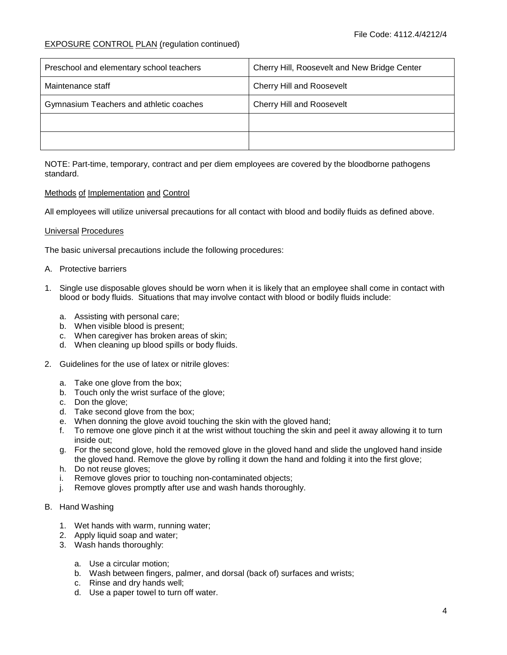| Preschool and elementary school teachers | Cherry Hill, Roosevelt and New Bridge Center |
|------------------------------------------|----------------------------------------------|
| Maintenance staff                        | <b>Cherry Hill and Roosevelt</b>             |
| Gymnasium Teachers and athletic coaches  | <b>Cherry Hill and Roosevelt</b>             |
|                                          |                                              |
|                                          |                                              |

NOTE: Part-time, temporary, contract and per diem employees are covered by the bloodborne pathogens standard.

# Methods of Implementation and Control

All employees will utilize universal precautions for all contact with blood and bodily fluids as defined above.

#### Universal Procedures

The basic universal precautions include the following procedures:

#### A. Protective barriers

- 1. Single use disposable gloves should be worn when it is likely that an employee shall come in contact with blood or body fluids. Situations that may involve contact with blood or bodily fluids include:
	- a. Assisting with personal care;
	- b. When visible blood is present;
	- c. When caregiver has broken areas of skin;
	- d. When cleaning up blood spills or body fluids.
- 2. Guidelines for the use of latex or nitrile gloves:
	- a. Take one glove from the box;
	- b. Touch only the wrist surface of the glove;
	- c. Don the glove;
	- d. Take second glove from the box;
	- e. When donning the glove avoid touching the skin with the gloved hand;
	- f. To remove one glove pinch it at the wrist without touching the skin and peel it away allowing it to turn inside out;
	- g. For the second glove, hold the removed glove in the gloved hand and slide the ungloved hand inside the gloved hand. Remove the glove by rolling it down the hand and folding it into the first glove;
	- h. Do not reuse gloves;
	- i. Remove gloves prior to touching non-contaminated objects;
	- j. Remove gloves promptly after use and wash hands thoroughly.

#### B. Hand Washing

- 1. Wet hands with warm, running water;
- 2. Apply liquid soap and water;
- 3. Wash hands thoroughly:
	- a. Use a circular motion;
	- b. Wash between fingers, palmer, and dorsal (back of) surfaces and wrists;
	- c. Rinse and dry hands well;
	- d. Use a paper towel to turn off water.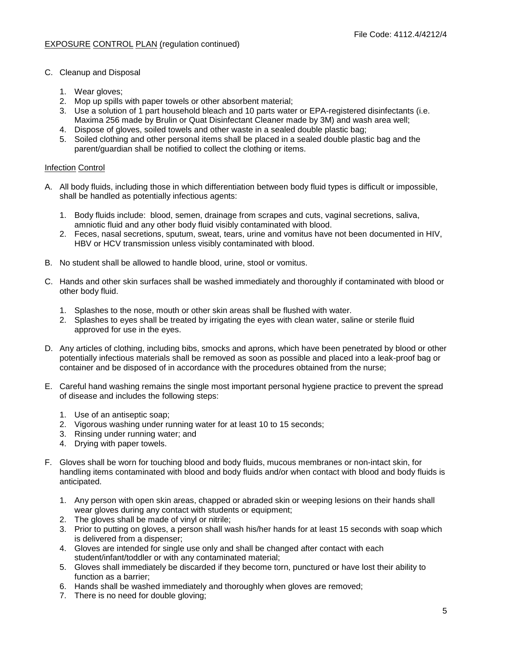- C. Cleanup and Disposal
	- 1. Wear gloves;
	- 2. Mop up spills with paper towels or other absorbent material;
	- 3. Use a solution of 1 part household bleach and 10 parts water or EPA-registered disinfectants (i.e. Maxima 256 made by Brulin or Quat Disinfectant Cleaner made by 3M) and wash area well;
	- 4. Dispose of gloves, soiled towels and other waste in a sealed double plastic bag;
	- 5. Soiled clothing and other personal items shall be placed in a sealed double plastic bag and the parent/guardian shall be notified to collect the clothing or items.

#### Infection Control

- A. All body fluids, including those in which differentiation between body fluid types is difficult or impossible, shall be handled as potentially infectious agents:
	- 1. Body fluids include: blood, semen, drainage from scrapes and cuts, vaginal secretions, saliva, amniotic fluid and any other body fluid visibly contaminated with blood.
	- 2. Feces, nasal secretions, sputum, sweat, tears, urine and vomitus have not been documented in HIV, HBV or HCV transmission unless visibly contaminated with blood.
- B. No student shall be allowed to handle blood, urine, stool or vomitus.
- C. Hands and other skin surfaces shall be washed immediately and thoroughly if contaminated with blood or other body fluid.
	- 1. Splashes to the nose, mouth or other skin areas shall be flushed with water.
	- 2. Splashes to eyes shall be treated by irrigating the eyes with clean water, saline or sterile fluid approved for use in the eyes.
- D. Any articles of clothing, including bibs, smocks and aprons, which have been penetrated by blood or other potentially infectious materials shall be removed as soon as possible and placed into a leak-proof bag or container and be disposed of in accordance with the procedures obtained from the nurse;
- E. Careful hand washing remains the single most important personal hygiene practice to prevent the spread of disease and includes the following steps:
	- 1. Use of an antiseptic soap;
	- 2. Vigorous washing under running water for at least 10 to 15 seconds;
	- 3. Rinsing under running water; and
	- 4. Drying with paper towels.
- F. Gloves shall be worn for touching blood and body fluids, mucous membranes or non-intact skin, for handling items contaminated with blood and body fluids and/or when contact with blood and body fluids is anticipated.
	- 1. Any person with open skin areas, chapped or abraded skin or weeping lesions on their hands shall wear gloves during any contact with students or equipment;
	- 2. The gloves shall be made of vinyl or nitrile;
	- 3. Prior to putting on gloves, a person shall wash his/her hands for at least 15 seconds with soap which is delivered from a dispenser;
	- 4. Gloves are intended for single use only and shall be changed after contact with each student/infant/toddler or with any contaminated material;
	- 5. Gloves shall immediately be discarded if they become torn, punctured or have lost their ability to function as a barrier;
	- 6. Hands shall be washed immediately and thoroughly when gloves are removed;
	- 7. There is no need for double gloving;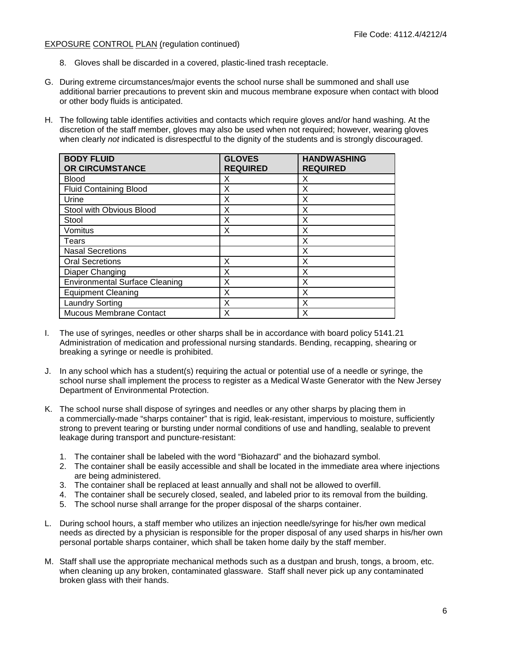- 8. Gloves shall be discarded in a covered, plastic-lined trash receptacle.
- G. During extreme circumstances/major events the school nurse shall be summoned and shall use additional barrier precautions to prevent skin and mucous membrane exposure when contact with blood or other body fluids is anticipated.
- H. The following table identifies activities and contacts which require gloves and/or hand washing. At the discretion of the staff member, gloves may also be used when not required; however, wearing gloves when clearly *not* indicated is disrespectful to the dignity of the students and is strongly discouraged.

| <b>BODY FLUID</b><br>OR CIRCUMSTANCE  | <b>GLOVES</b><br><b>REQUIRED</b> | <b>HANDWASHING</b><br><b>REQUIRED</b> |
|---------------------------------------|----------------------------------|---------------------------------------|
| <b>Blood</b>                          | X                                | X                                     |
| <b>Fluid Containing Blood</b>         | X                                | X                                     |
| Urine                                 | X                                | X                                     |
| Stool with Obvious Blood              | X                                | X                                     |
| Stool                                 | X                                | X                                     |
| Vomitus                               | X                                | X                                     |
| Tears                                 |                                  | X                                     |
| <b>Nasal Secretions</b>               |                                  | X                                     |
| <b>Oral Secretions</b>                | X                                | X                                     |
| Diaper Changing                       | X                                | X                                     |
| <b>Environmental Surface Cleaning</b> | X                                | X                                     |
| <b>Equipment Cleaning</b>             | X                                | X                                     |
| <b>Laundry Sorting</b>                | X                                | X                                     |
| Mucous Membrane Contact               | X                                | X                                     |

- I. The use of syringes, needles or other sharps shall be in accordance with board policy 5141.21 Administration of medication and professional nursing standards. Bending, recapping, shearing or breaking a syringe or needle is prohibited.
- J. In any school which has a student(s) requiring the actual or potential use of a needle or syringe, the school nurse shall implement the process to register as a Medical Waste Generator with the New Jersey Department of Environmental Protection.
- K. The school nurse shall dispose of syringes and needles or any other sharps by placing them in a commercially-made "sharps container" that is rigid, leak-resistant, impervious to moisture, sufficiently strong to prevent tearing or bursting under normal conditions of use and handling, sealable to prevent leakage during transport and puncture-resistant:
	- 1. The container shall be labeled with the word "Biohazard" and the biohazard symbol.
	- 2. The container shall be easily accessible and shall be located in the immediate area where injections are being administered.
	- 3. The container shall be replaced at least annually and shall not be allowed to overfill.
	- 4. The container shall be securely closed, sealed, and labeled prior to its removal from the building.
	- 5. The school nurse shall arrange for the proper disposal of the sharps container.
- L. During school hours, a staff member who utilizes an injection needle/syringe for his/her own medical needs as directed by a physician is responsible for the proper disposal of any used sharps in his/her own personal portable sharps container, which shall be taken home daily by the staff member.
- M. Staff shall use the appropriate mechanical methods such as a dustpan and brush, tongs, a broom, etc. when cleaning up any broken, contaminated glassware. Staff shall never pick up any contaminated broken glass with their hands.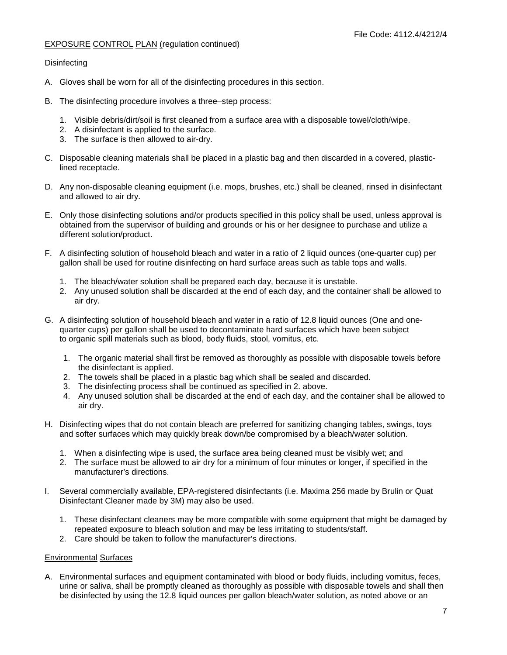# **Disinfecting**

- A. Gloves shall be worn for all of the disinfecting procedures in this section.
- B. The disinfecting procedure involves a three–step process:
	- 1. Visible debris/dirt/soil is first cleaned from a surface area with a disposable towel/cloth/wipe.
	- 2. A disinfectant is applied to the surface.
	- 3. The surface is then allowed to air-dry.
- C. Disposable cleaning materials shall be placed in a plastic bag and then discarded in a covered, plasticlined receptacle.
- D. Any non-disposable cleaning equipment (i.e. mops, brushes, etc.) shall be cleaned, rinsed in disinfectant and allowed to air dry.
- E. Only those disinfecting solutions and/or products specified in this policy shall be used, unless approval is obtained from the supervisor of building and grounds or his or her designee to purchase and utilize a different solution/product.
- F. A disinfecting solution of household bleach and water in a ratio of 2 liquid ounces (one-quarter cup) per gallon shall be used for routine disinfecting on hard surface areas such as table tops and walls.
	- 1. The bleach/water solution shall be prepared each day, because it is unstable.
	- 2. Any unused solution shall be discarded at the end of each day, and the container shall be allowed to air dry.
- G. A disinfecting solution of household bleach and water in a ratio of 12.8 liquid ounces (One and onequarter cups) per gallon shall be used to decontaminate hard surfaces which have been subject to organic spill materials such as blood, body fluids, stool, vomitus, etc.
	- 1. The organic material shall first be removed as thoroughly as possible with disposable towels before the disinfectant is applied.
	- 2. The towels shall be placed in a plastic bag which shall be sealed and discarded.
	- 3. The disinfecting process shall be continued as specified in 2. above.
	- 4. Any unused solution shall be discarded at the end of each day, and the container shall be allowed to air dry.
- H. Disinfecting wipes that do not contain bleach are preferred for sanitizing changing tables, swings, toys and softer surfaces which may quickly break down/be compromised by a bleach/water solution.
	- 1. When a disinfecting wipe is used, the surface area being cleaned must be visibly wet; and
	- 2. The surface must be allowed to air dry for a minimum of four minutes or longer, if specified in the manufacturer's directions.
- I. Several commercially available, EPA-registered disinfectants (i.e. Maxima 256 made by Brulin or Quat Disinfectant Cleaner made by 3M) may also be used.
	- 1. These disinfectant cleaners may be more compatible with some equipment that might be damaged by repeated exposure to bleach solution and may be less irritating to students/staff.
	- 2. Care should be taken to follow the manufacturer's directions.

# Environmental Surfaces

A. Environmental surfaces and equipment contaminated with blood or body fluids, including vomitus, feces, urine or saliva, shall be promptly cleaned as thoroughly as possible with disposable towels and shall then be disinfected by using the 12.8 liquid ounces per gallon bleach/water solution, as noted above or an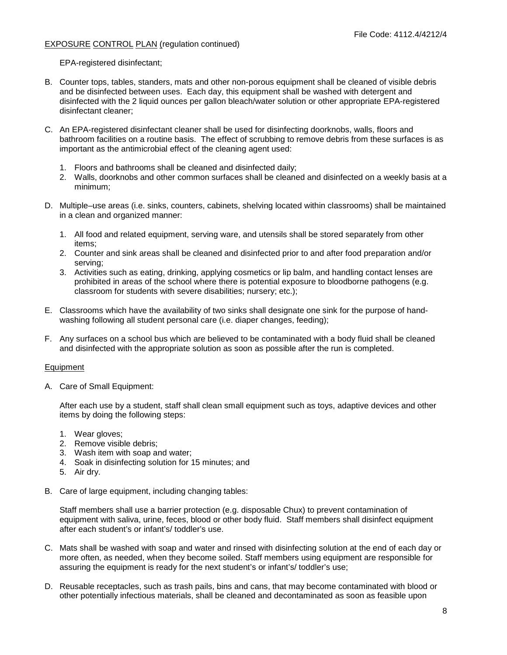EPA-registered disinfectant;

- B. Counter tops, tables, standers, mats and other non-porous equipment shall be cleaned of visible debris and be disinfected between uses. Each day, this equipment shall be washed with detergent and disinfected with the 2 liquid ounces per gallon bleach/water solution or other appropriate EPA-registered disinfectant cleaner;
- C. An EPA-registered disinfectant cleaner shall be used for disinfecting doorknobs, walls, floors and bathroom facilities on a routine basis. The effect of scrubbing to remove debris from these surfaces is as important as the antimicrobial effect of the cleaning agent used:
	- 1. Floors and bathrooms shall be cleaned and disinfected daily;
	- 2. Walls, doorknobs and other common surfaces shall be cleaned and disinfected on a weekly basis at a minimum;
- D. Multiple–use areas (i.e. sinks, counters, cabinets, shelving located within classrooms) shall be maintained in a clean and organized manner:
	- 1. All food and related equipment, serving ware, and utensils shall be stored separately from other items;
	- 2. Counter and sink areas shall be cleaned and disinfected prior to and after food preparation and/or serving;
	- 3. Activities such as eating, drinking, applying cosmetics or lip balm, and handling contact lenses are prohibited in areas of the school where there is potential exposure to bloodborne pathogens (e.g. classroom for students with severe disabilities; nursery; etc.);
- E. Classrooms which have the availability of two sinks shall designate one sink for the purpose of handwashing following all student personal care (i.e. diaper changes, feeding);
- F. Any surfaces on a school bus which are believed to be contaminated with a body fluid shall be cleaned and disinfected with the appropriate solution as soon as possible after the run is completed.

# **Equipment**

A. Care of Small Equipment:

After each use by a student, staff shall clean small equipment such as toys, adaptive devices and other items by doing the following steps:

- 1. Wear gloves;
- 2. Remove visible debris;
- 3. Wash item with soap and water;
- 4. Soak in disinfecting solution for 15 minutes; and
- 5. Air dry.
- B. Care of large equipment, including changing tables:

Staff members shall use a barrier protection (e.g. disposable Chux) to prevent contamination of equipment with saliva, urine, feces, blood or other body fluid. Staff members shall disinfect equipment after each student's or infant's/ toddler's use.

- C. Mats shall be washed with soap and water and rinsed with disinfecting solution at the end of each day or more often, as needed, when they become soiled. Staff members using equipment are responsible for assuring the equipment is ready for the next student's or infant's/ toddler's use;
- D. Reusable receptacles, such as trash pails, bins and cans, that may become contaminated with blood or other potentially infectious materials, shall be cleaned and decontaminated as soon as feasible upon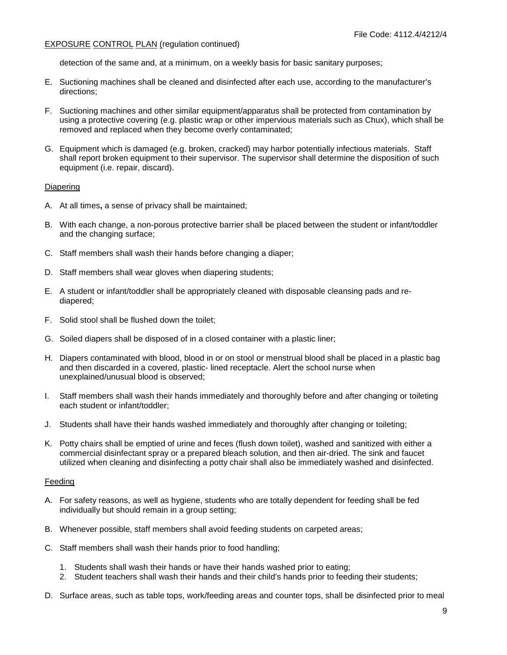detection of the same and, at a minimum, on a weekly basis for basic sanitary purposes;

- E. Suctioning machines shall be cleaned and disinfected after each use, according to the manufacturer's directions;
- F. Suctioning machines and other similar equipment/apparatus shall be protected from contamination by using a protective covering (e.g. plastic wrap or other impervious materials such as Chux), which shall be removed and replaced when they become overly contaminated;
- G. Equipment which is damaged (e.g. broken, cracked) may harbor potentially infectious materials. Staff shall report broken equipment to their supervisor. The supervisor shall determine the disposition of such equipment (i.e. repair, discard).

#### **Diapering**

- A. At all times**,** a sense of privacy shall be maintained;
- B. With each change, a non-porous protective barrier shall be placed between the student or infant/toddler and the changing surface;
- C. Staff members shall wash their hands before changing a diaper;
- D. Staff members shall wear gloves when diapering students;
- E. A student or infant/toddler shall be appropriately cleaned with disposable cleansing pads and rediapered;
- F. Solid stool shall be flushed down the toilet;
- G. Soiled diapers shall be disposed of in a closed container with a plastic liner;
- H. Diapers contaminated with blood, blood in or on stool or menstrual blood shall be placed in a plastic bag and then discarded in a covered, plastic- lined receptacle. Alert the school nurse when unexplained/unusual blood is observed;
- I. Staff members shall wash their hands immediately and thoroughly before and after changing or toileting each student or infant/toddler;
- J. Students shall have their hands washed immediately and thoroughly after changing or toileting;
- K. Potty chairs shall be emptied of urine and feces (flush down toilet), washed and sanitized with either a commercial disinfectant spray or a prepared bleach solution, and then air-dried. The sink and faucet utilized when cleaning and disinfecting a potty chair shall also be immediately washed and disinfected.

#### Feeding

- A. For safety reasons, as well as hygiene, students who are totally dependent for feeding shall be fed individually but should remain in a group setting;
- B. Whenever possible, staff members shall avoid feeding students on carpeted areas;
- C. Staff members shall wash their hands prior to food handling;
	- 1. Students shall wash their hands or have their hands washed prior to eating;
	- 2. Student teachers shall wash their hands and their child's hands prior to feeding their students;
- D. Surface areas, such as table tops, work/feeding areas and counter tops, shall be disinfected prior to meal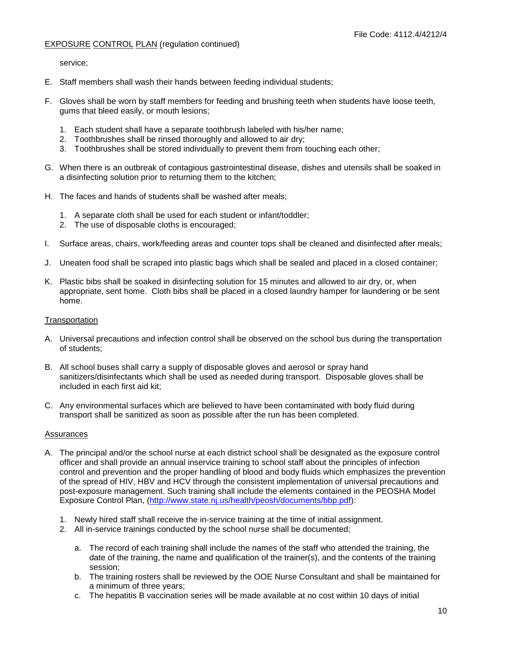service;

- E. Staff members shall wash their hands between feeding individual students;
- F. Gloves shall be worn by staff members for feeding and brushing teeth when students have loose teeth, gums that bleed easily, or mouth lesions;
	- 1. Each student shall have a separate toothbrush labeled with his/her name;
	- 2. Toothbrushes shall be rinsed thoroughly and allowed to air dry;
	- 3. Toothbrushes shall be stored individually to prevent them from touching each other;
- G. When there is an outbreak of contagious gastrointestinal disease, dishes and utensils shall be soaked in a disinfecting solution prior to returning them to the kitchen;
- H. The faces and hands of students shall be washed after meals;
	- 1. A separate cloth shall be used for each student or infant/toddler;
	- 2. The use of disposable cloths is encouraged;
- I. Surface areas, chairs, work/feeding areas and counter tops shall be cleaned and disinfected after meals;
- J. Uneaten food shall be scraped into plastic bags which shall be sealed and placed in a closed container;
- K. Plastic bibs shall be soaked in disinfecting solution for 15 minutes and allowed to air dry, or, when appropriate, sent home. Cloth bibs shall be placed in a closed laundry hamper for laundering or be sent home.

#### **Transportation**

- A. Universal precautions and infection control shall be observed on the school bus during the transportation of students;
- B. All school buses shall carry a supply of disposable gloves and aerosol or spray hand sanitizers/disinfectants which shall be used as needed during transport. Disposable gloves shall be included in each first aid kit;
- C. Any environmental surfaces which are believed to have been contaminated with body fluid during transport shall be sanitized as soon as possible after the run has been completed.

#### Assurances

- A. The principal and/or the school nurse at each district school shall be designated as the exposure control officer and shall provide an annual inservice training to school staff about the principles of infection control and prevention and the proper handling of blood and body fluids which emphasizes the prevention of the spread of HIV, HBV and HCV through the consistent implementation of universal precautions and post-exposure management. Such training shall include the elements contained in the PEOSHA Model Exposure Control Plan, [\(http://www.state.nj.us/health/peosh/documents/bbp.pdf\)](http://www.state.nj.us/health/peosh/documents/bbp.pdf):
	- 1. Newly hired staff shall receive the in-service training at the time of initial assignment.
	- 2. All in-service trainings conducted by the school nurse shall be documented;
		- a. The record of each training shall include the names of the staff who attended the training, the date of the training, the name and qualification of the trainer(s), and the contents of the training session;
		- b. The training rosters shall be reviewed by the OOE Nurse Consultant and shall be maintained for a minimum of three years;
		- c. The hepatitis B vaccination series will be made available at no cost within 10 days of initial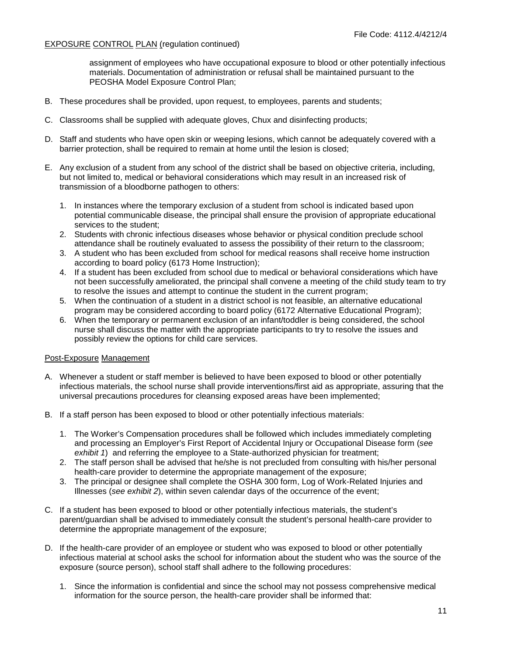assignment of employees who have occupational exposure to blood or other potentially infectious materials. Documentation of administration or refusal shall be maintained pursuant to the PEOSHA Model Exposure Control Plan;

- B. These procedures shall be provided, upon request, to employees, parents and students;
- C. Classrooms shall be supplied with adequate gloves, Chux and disinfecting products;
- D. Staff and students who have open skin or weeping lesions, which cannot be adequately covered with a barrier protection, shall be required to remain at home until the lesion is closed;
- E. Any exclusion of a student from any school of the district shall be based on objective criteria, including, but not limited to, medical or behavioral considerations which may result in an increased risk of transmission of a bloodborne pathogen to others:
	- 1. In instances where the temporary exclusion of a student from school is indicated based upon potential communicable disease, the principal shall ensure the provision of appropriate educational services to the student;
	- 2. Students with chronic infectious diseases whose behavior or physical condition preclude school attendance shall be routinely evaluated to assess the possibility of their return to the classroom;
	- 3. A student who has been excluded from school for medical reasons shall receive home instruction according to board policy (6173 Home Instruction);
	- 4. If a student has been excluded from school due to medical or behavioral considerations which have not been successfully ameliorated, the principal shall convene a meeting of the child study team to try to resolve the issues and attempt to continue the student in the current program;
	- 5. When the continuation of a student in a district school is not feasible, an alternative educational program may be considered according to board policy (6172 Alternative Educational Program);
	- 6. When the temporary or permanent exclusion of an infant/toddler is being considered, the school nurse shall discuss the matter with the appropriate participants to try to resolve the issues and possibly review the options for child care services.

#### Post-Exposure Management

- A. Whenever a student or staff member is believed to have been exposed to blood or other potentially infectious materials, the school nurse shall provide interventions/first aid as appropriate, assuring that the universal precautions procedures for cleansing exposed areas have been implemented;
- B. If a staff person has been exposed to blood or other potentially infectious materials:
	- 1. The Worker's Compensation procedures shall be followed which includes immediately completing and processing an Employer's First Report of Accidental Injury or Occupational Disease form (*see exhibit 1*) and referring the employee to a State-authorized physician for treatment;
	- 2. The staff person shall be advised that he/she is not precluded from consulting with his/her personal health-care provider to determine the appropriate management of the exposure;
	- 3. The principal or designee shall complete the OSHA 300 form, Log of Work-Related Injuries and Illnesses (*see exhibit 2*), within seven calendar days of the occurrence of the event;
- C. If a student has been exposed to blood or other potentially infectious materials, the student's parent/guardian shall be advised to immediately consult the student's personal health-care provider to determine the appropriate management of the exposure;
- D. If the health-care provider of an employee or student who was exposed to blood or other potentially infectious material at school asks the school for information about the student who was the source of the exposure (source person), school staff shall adhere to the following procedures:
	- 1. Since the information is confidential and since the school may not possess comprehensive medical information for the source person, the health-care provider shall be informed that: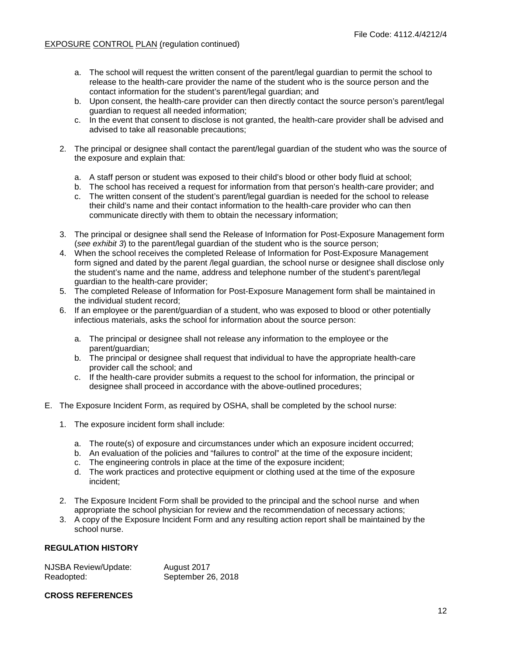- a. The school will request the written consent of the parent/legal guardian to permit the school to release to the health-care provider the name of the student who is the source person and the contact information for the student's parent/legal guardian; and
- b. Upon consent, the health-care provider can then directly contact the source person's parent/legal guardian to request all needed information;
- c. In the event that consent to disclose is not granted, the health-care provider shall be advised and advised to take all reasonable precautions;
- 2. The principal or designee shall contact the parent/legal guardian of the student who was the source of the exposure and explain that:
	- a. A staff person or student was exposed to their child's blood or other body fluid at school;
	- b. The school has received a request for information from that person's health-care provider; and
	- c. The written consent of the student's parent/legal guardian is needed for the school to release their child's name and their contact information to the health-care provider who can then communicate directly with them to obtain the necessary information;
- 3. The principal or designee shall send the Release of Information for Post-Exposure Management form (*see exhibit 3*) to the parent/legal guardian of the student who is the source person;
- 4. When the school receives the completed Release of Information for Post-Exposure Management form signed and dated by the parent /legal guardian, the school nurse or designee shall disclose only the student's name and the name, address and telephone number of the student's parent/legal guardian to the health-care provider;
- 5. The completed Release of Information for Post-Exposure Management form shall be maintained in the individual student record;
- 6. If an employee or the parent/guardian of a student, who was exposed to blood or other potentially infectious materials, asks the school for information about the source person:
	- a. The principal or designee shall not release any information to the employee or the parent/guardian;
	- b. The principal or designee shall request that individual to have the appropriate health-care provider call the school; and
	- c. If the health-care provider submits a request to the school for information, the principal or designee shall proceed in accordance with the above-outlined procedures;
- E. The Exposure Incident Form, as required by OSHA, shall be completed by the school nurse:
	- 1. The exposure incident form shall include:
		- a. The route(s) of exposure and circumstances under which an exposure incident occurred;
		- b. An evaluation of the policies and "failures to control" at the time of the exposure incident;
		- c. The engineering controls in place at the time of the exposure incident;
		- d. The work practices and protective equipment or clothing used at the time of the exposure incident;
	- 2. The Exposure Incident Form shall be provided to the principal and the school nurse and when appropriate the school physician for review and the recommendation of necessary actions;
	- 3. A copy of the Exposure Incident Form and any resulting action report shall be maintained by the school nurse.

#### **REGULATION HISTORY**

| <b>NJSBA Review/Update:</b> | August 2017        |
|-----------------------------|--------------------|
| Readopted:                  | September 26, 2018 |

# **CROSS REFERENCES**